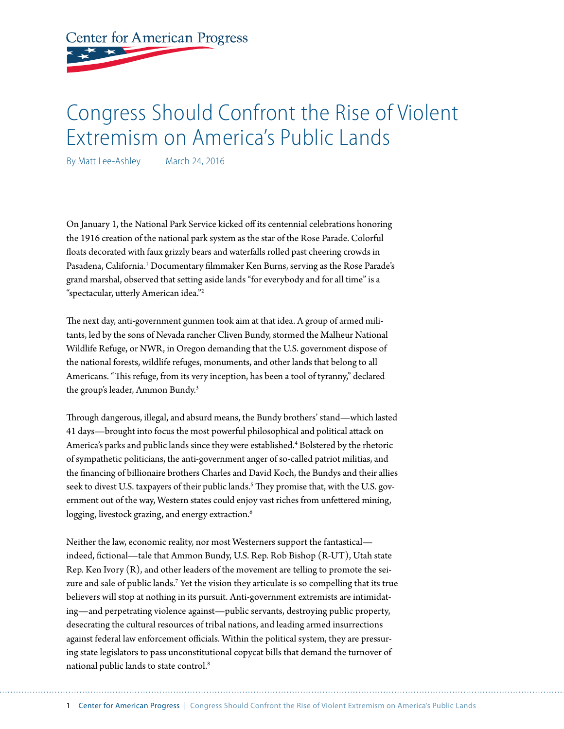# **Center for American Progress**

# Congress Should Confront the Rise of Violent Extremism on America's Public Lands

By Matt Lee-Ashley March 24, 2016

On January 1, the National Park Service kicked off its centennial celebrations honoring the 1916 creation of the national park system as the star of the Rose Parade. Colorful floats decorated with faux grizzly bears and waterfalls rolled past cheering crowds in Pasadena, California.<sup>1</sup> Documentary filmmaker Ken Burns, serving as the Rose Parade's grand marshal, observed that setting aside lands "for everybody and for all time" is a "spectacular, utterly American idea."2

The next day, anti-government gunmen took aim at that idea. A group of armed militants, led by the sons of Nevada rancher Cliven Bundy, stormed the Malheur National Wildlife Refuge, or NWR, in Oregon demanding that the U.S. government dispose of the national forests, wildlife refuges, monuments, and other lands that belong to all Americans. "This refuge, from its very inception, has been a tool of tyranny," declared the group's leader, Ammon Bundy.<sup>3</sup>

Through dangerous, illegal, and absurd means, the Bundy brothers' stand—which lasted 41 days—brought into focus the most powerful philosophical and political attack on America's parks and public lands since they were established.<sup>4</sup> Bolstered by the rhetoric of sympathetic politicians, the anti-government anger of so-called patriot militias, and the financing of billionaire brothers Charles and David Koch, the Bundys and their allies seek to divest U.S. taxpayers of their public lands.<sup>5</sup> They promise that, with the U.S. government out of the way, Western states could enjoy vast riches from unfettered mining, logging, livestock grazing, and energy extraction.<sup>6</sup>

Neither the law, economic reality, nor most Westerners support the fantastical indeed, fictional—tale that Ammon Bundy, U.S. Rep. Rob Bishop (R-UT), Utah state Rep. Ken Ivory  $(R)$ , and other leaders of the movement are telling to promote the seizure and sale of public lands.<sup>7</sup> Yet the vision they articulate is so compelling that its true believers will stop at nothing in its pursuit. Anti-government extremists are intimidating—and perpetrating violence against—public servants, destroying public property, desecrating the cultural resources of tribal nations, and leading armed insurrections against federal law enforcement officials. Within the political system, they are pressuring state legislators to pass unconstitutional copycat bills that demand the turnover of national public lands to state control.8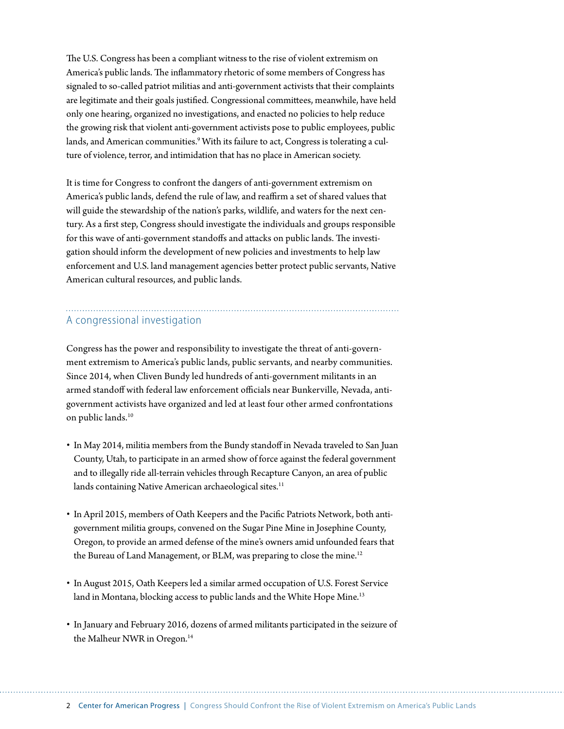The U.S. Congress has been a compliant witness to the rise of violent extremism on America's public lands. The inflammatory rhetoric of some members of Congress has signaled to so-called patriot militias and anti-government activists that their complaints are legitimate and their goals justified. Congressional committees, meanwhile, have held only one hearing, organized no investigations, and enacted no policies to help reduce the growing risk that violent anti-government activists pose to public employees, public lands, and American communities.<sup>9</sup> With its failure to act, Congress is tolerating a culture of violence, terror, and intimidation that has no place in American society.

It is time for Congress to confront the dangers of anti-government extremism on America's public lands, defend the rule of law, and reaffirm a set of shared values that will guide the stewardship of the nation's parks, wildlife, and waters for the next century. As a first step, Congress should investigate the individuals and groups responsible for this wave of anti-government standoffs and attacks on public lands. The investigation should inform the development of new policies and investments to help law enforcement and U.S. land management agencies better protect public servants, Native American cultural resources, and public lands.

## A congressional investigation

Congress has the power and responsibility to investigate the threat of anti-government extremism to America's public lands, public servants, and nearby communities. Since 2014, when Cliven Bundy led hundreds of anti-government militants in an armed standoff with federal law enforcement officials near Bunkerville, Nevada, antigovernment activists have organized and led at least four other armed confrontations on public lands.<sup>10</sup>

- In May 2014, militia members from the Bundy standoff in Nevada traveled to San Juan County, Utah, to participate in an armed show of force against the federal government and to illegally ride all-terrain vehicles through Recapture Canyon, an area of public lands containing Native American archaeological sites.<sup>11</sup>
- In April 2015, members of Oath Keepers and the Pacific Patriots Network, both antigovernment militia groups, convened on the Sugar Pine Mine in Josephine County, Oregon, to provide an armed defense of the mine's owners amid unfounded fears that the Bureau of Land Management, or BLM, was preparing to close the mine.<sup>12</sup>
- In August 2015, Oath Keepers led a similar armed occupation of U.S. Forest Service land in Montana, blocking access to public lands and the White Hope Mine.<sup>13</sup>
- In January and February 2016, dozens of armed militants participated in the seizure of the Malheur NWR in Oregon.<sup>14</sup>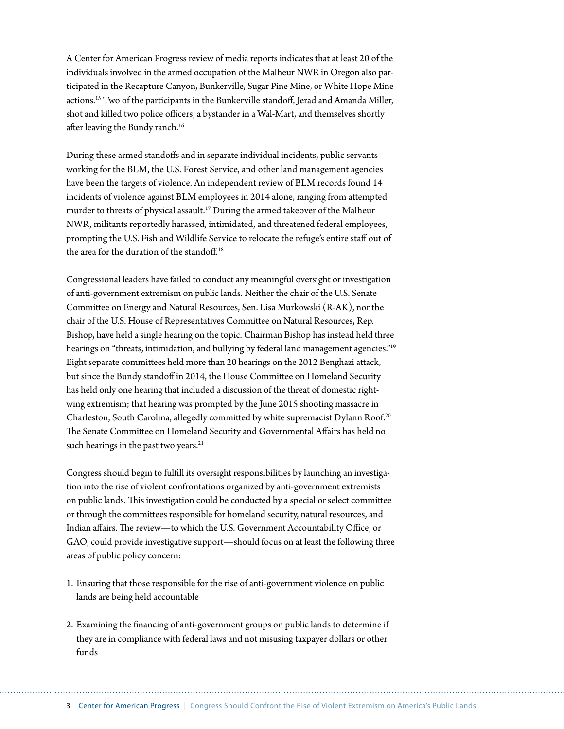A Center for American Progress review of media reports indicates that at least 20 of the individuals involved in the armed occupation of the Malheur NWR in Oregon also participated in the Recapture Canyon, Bunkerville, Sugar Pine Mine, or White Hope Mine actions.15 Two of the participants in the Bunkerville standoff, Jerad and Amanda Miller, shot and killed two police officers, a bystander in a Wal-Mart, and themselves shortly after leaving the Bundy ranch.<sup>16</sup>

During these armed standoffs and in separate individual incidents, public servants working for the BLM, the U.S. Forest Service, and other land management agencies have been the targets of violence. An independent review of BLM records found 14 incidents of violence against BLM employees in 2014 alone, ranging from attempted murder to threats of physical assault.<sup>17</sup> During the armed takeover of the Malheur NWR, militants reportedly harassed, intimidated, and threatened federal employees, prompting the U.S. Fish and Wildlife Service to relocate the refuge's entire staff out of the area for the duration of the standoff.18

Congressional leaders have failed to conduct any meaningful oversight or investigation of anti-government extremism on public lands. Neither the chair of the U.S. Senate Committee on Energy and Natural Resources, Sen. Lisa Murkowski (R-AK), nor the chair of the U.S. House of Representatives Committee on Natural Resources, Rep. Bishop, have held a single hearing on the topic. Chairman Bishop has instead held three hearings on "threats, intimidation, and bullying by federal land management agencies."<sup>19</sup> Eight separate committees held more than 20 hearings on the 2012 Benghazi attack, but since the Bundy standoff in 2014, the House Committee on Homeland Security has held only one hearing that included a discussion of the threat of domestic rightwing extremism; that hearing was prompted by the June 2015 shooting massacre in Charleston, South Carolina, allegedly committed by white supremacist Dylann Roof.20 The Senate Committee on Homeland Security and Governmental Affairs has held no such hearings in the past two years.<sup>21</sup>

Congress should begin to fulfill its oversight responsibilities by launching an investigation into the rise of violent confrontations organized by anti-government extremists on public lands. This investigation could be conducted by a special or select committee or through the committees responsible for homeland security, natural resources, and Indian affairs. The review—to which the U.S. Government Accountability Office, or GAO, could provide investigative support—should focus on at least the following three areas of public policy concern:

- 1. Ensuring that those responsible for the rise of anti-government violence on public lands are being held accountable
- 2. Examining the financing of anti-government groups on public lands to determine if they are in compliance with federal laws and not misusing taxpayer dollars or other funds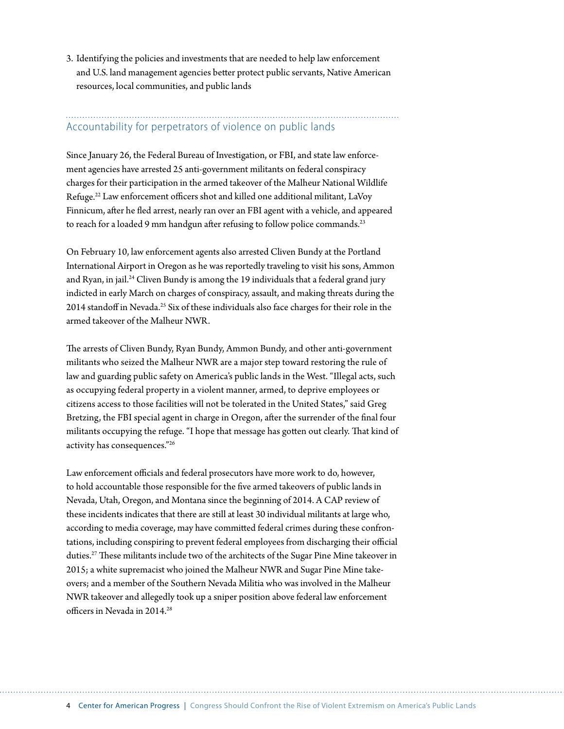3. Identifying the policies and investments that are needed to help law enforcement and U.S. land management agencies better protect public servants, Native American resources, local communities, and public lands

### Accountability for perpetrators of violence on public lands

Since January 26, the Federal Bureau of Investigation, or FBI, and state law enforcement agencies have arrested 25 anti-government militants on federal conspiracy charges for their participation in the armed takeover of the Malheur National Wildlife Refuge.<sup>22</sup> Law enforcement officers shot and killed one additional militant, LaVoy Finnicum, after he fled arrest, nearly ran over an FBI agent with a vehicle, and appeared to reach for a loaded 9 mm handgun after refusing to follow police commands.<sup>23</sup>

On February 10, law enforcement agents also arrested Cliven Bundy at the Portland International Airport in Oregon as he was reportedly traveling to visit his sons, Ammon and Ryan, in jail.<sup>24</sup> Cliven Bundy is among the 19 individuals that a federal grand jury indicted in early March on charges of conspiracy, assault, and making threats during the 2014 standoff in Nevada.25 Six of these individuals also face charges for their role in the armed takeover of the Malheur NWR.

The arrests of Cliven Bundy, Ryan Bundy, Ammon Bundy, and other anti-government militants who seized the Malheur NWR are a major step toward restoring the rule of law and guarding public safety on America's public lands in the West. "Illegal acts, such as occupying federal property in a violent manner, armed, to deprive employees or citizens access to those facilities will not be tolerated in the United States," said Greg Bretzing, the FBI special agent in charge in Oregon, after the surrender of the final four militants occupying the refuge. "I hope that message has gotten out clearly. That kind of activity has consequences."26

Law enforcement officials and federal prosecutors have more work to do, however, to hold accountable those responsible for the five armed takeovers of public lands in Nevada, Utah, Oregon, and Montana since the beginning of 2014. A CAP review of these incidents indicates that there are still at least 30 individual militants at large who, according to media coverage, may have committed federal crimes during these confrontations, including conspiring to prevent federal employees from discharging their official duties.27 These militants include two of the architects of the Sugar Pine Mine takeover in 2015; a white supremacist who joined the Malheur NWR and Sugar Pine Mine takeovers; and a member of the Southern Nevada Militia who was involved in the Malheur NWR takeover and allegedly took up a sniper position above federal law enforcement officers in Nevada in 2014.28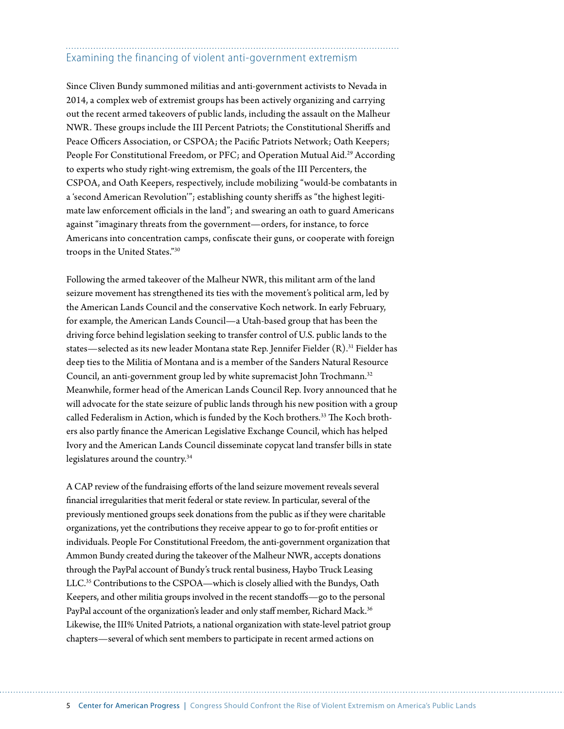# Examining the financing of violent anti-government extremism

Since Cliven Bundy summoned militias and anti-government activists to Nevada in 2014, a complex web of extremist groups has been actively organizing and carrying out the recent armed takeovers of public lands, including the assault on the Malheur NWR. These groups include the III Percent Patriots; the Constitutional Sheriffs and Peace Officers Association, or CSPOA; the Pacific Patriots Network; Oath Keepers; People For Constitutional Freedom, or PFC; and Operation Mutual Aid.<sup>29</sup> According to experts who study right-wing extremism, the goals of the III Percenters, the CSPOA, and Oath Keepers, respectively, include mobilizing "would-be combatants in a 'second American Revolution'"; establishing county sheriffs as "the highest legitimate law enforcement officials in the land"; and swearing an oath to guard Americans against "imaginary threats from the government—orders, for instance, to force Americans into concentration camps, confiscate their guns, or cooperate with foreign troops in the United States."30

Following the armed takeover of the Malheur NWR, this militant arm of the land seizure movement has strengthened its ties with the movement's political arm, led by the American Lands Council and the conservative Koch network. In early February, for example, the American Lands Council—a Utah-based group that has been the driving force behind legislation seeking to transfer control of U.S. public lands to the states—selected as its new leader Montana state Rep. Jennifer Fielder (R).<sup>31</sup> Fielder has deep ties to the Militia of Montana and is a member of the Sanders Natural Resource Council, an anti-government group led by white supremacist John Trochmann.<sup>32</sup> Meanwhile, former head of the American Lands Council Rep. Ivory announced that he will advocate for the state seizure of public lands through his new position with a group called Federalism in Action, which is funded by the Koch brothers.<sup>33</sup> The Koch brothers also partly finance the American Legislative Exchange Council, which has helped Ivory and the American Lands Council disseminate copycat land transfer bills in state legislatures around the country.34

A CAP review of the fundraising efforts of the land seizure movement reveals several financial irregularities that merit federal or state review. In particular, several of the previously mentioned groups seek donations from the public as if they were charitable organizations, yet the contributions they receive appear to go to for-profit entities or individuals. People For Constitutional Freedom, the anti-government organization that Ammon Bundy created during the takeover of the Malheur NWR, accepts donations through the PayPal account of Bundy's truck rental business, Haybo Truck Leasing LLC.<sup>35</sup> Contributions to the CSPOA—which is closely allied with the Bundys, Oath Keepers, and other militia groups involved in the recent standoffs—go to the personal PayPal account of the organization's leader and only staff member, Richard Mack.<sup>36</sup> Likewise, the III% United Patriots, a national organization with state-level patriot group chapters—several of which sent members to participate in recent armed actions on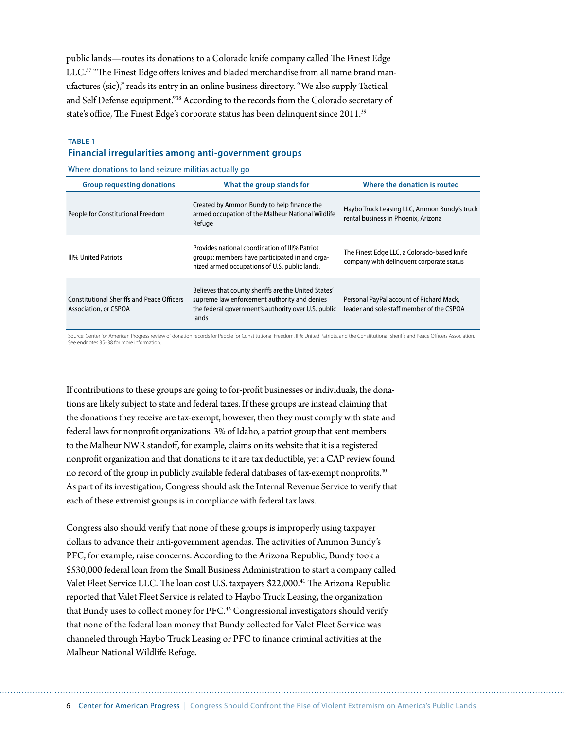public lands—routes its donations to a Colorado knife company called The Finest Edge LLC.<sup>37</sup> "The Finest Edge offers knives and bladed merchandise from all name brand manufactures (sic)," reads its entry in an online business directory. "We also supply Tactical and Self Defense equipment."38 According to the records from the Colorado secretary of state's office, The Finest Edge's corporate status has been delinquent since 2011.39

#### **TABLE 1 Financial irregularities among anti-government groups**

Where donations to land seizure militias actually go

| <b>Group requesting donations</b>                                          | What the group stands for                                                                                                                                            | Where the donation is routed                                                            |
|----------------------------------------------------------------------------|----------------------------------------------------------------------------------------------------------------------------------------------------------------------|-----------------------------------------------------------------------------------------|
| People for Constitutional Freedom                                          | Created by Ammon Bundy to help finance the<br>armed occupation of the Malheur National Wildlife<br>Refuge                                                            | Haybo Truck Leasing LLC, Ammon Bundy's truck<br>rental business in Phoenix, Arizona     |
| <b>III% United Patriots</b>                                                | Provides national coordination of III% Patriot<br>groups; members have participated in and orga-<br>nized armed occupations of U.S. public lands.                    | The Finest Edge LLC, a Colorado-based knife<br>company with delinguent corporate status |
| <b>Constitutional Sheriffs and Peace Officers</b><br>Association, or CSPOA | Believes that county sheriffs are the United States'<br>supreme law enforcement authority and denies<br>the federal government's authority over U.S. public<br>lands | Personal PayPal account of Richard Mack,<br>leader and sole staff member of the CSPOA   |

Source: Center for American Progress review of donation records for People for Constitutional Freedom, III% United Patriots, and the Constitutional Sheriffs and Peace Officers Association. See endnotes 35–38 for more information.

If contributions to these groups are going to for-profit businesses or individuals, the donations are likely subject to state and federal taxes. If these groups are instead claiming that the donations they receive are tax-exempt, however, then they must comply with state and federal laws for nonprofit organizations. 3% of Idaho, a patriot group that sent members to the Malheur NWR standoff, for example, claims on its website that it is a registered nonprofit organization and that donations to it are tax deductible, yet a CAP review found no record of the group in publicly available federal databases of tax-exempt nonprofits.<sup>40</sup> As part of its investigation, Congress should ask the Internal Revenue Service to verify that each of these extremist groups is in compliance with federal tax laws.

Congress also should verify that none of these groups is improperly using taxpayer dollars to advance their anti-government agendas. The activities of Ammon Bundy's PFC, for example, raise concerns. According to the Arizona Republic, Bundy took a \$530,000 federal loan from the Small Business Administration to start a company called Valet Fleet Service LLC. The loan cost U.S. taxpayers \$22,000.<sup>41</sup> The Arizona Republic reported that Valet Fleet Service is related to Haybo Truck Leasing, the organization that Bundy uses to collect money for PFC.<sup>42</sup> Congressional investigators should verify that none of the federal loan money that Bundy collected for Valet Fleet Service was channeled through Haybo Truck Leasing or PFC to finance criminal activities at the Malheur National Wildlife Refuge.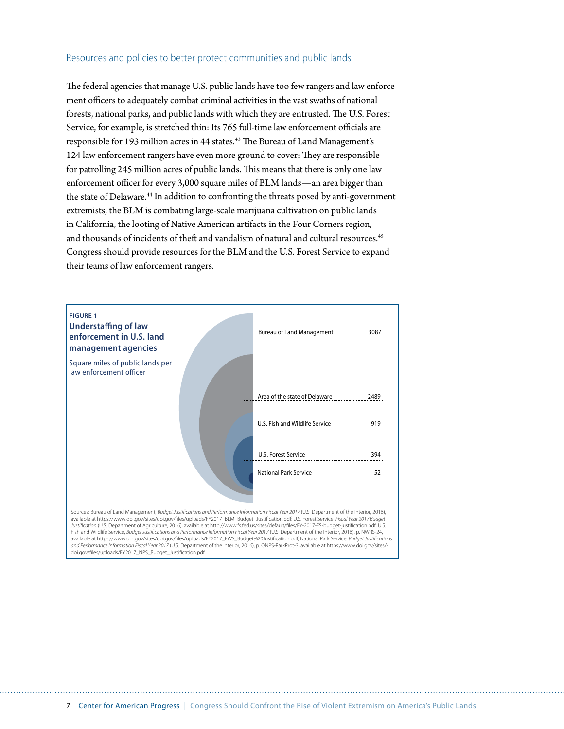#### Resources and policies to better protect communities and public lands

The federal agencies that manage U.S. public lands have too few rangers and law enforcement officers to adequately combat criminal activities in the vast swaths of national forests, national parks, and public lands with which they are entrusted. The U.S. Forest Service, for example, is stretched thin: Its 765 full-time law enforcement officials are responsible for 193 million acres in 44 states.<sup>43</sup> The Bureau of Land Management's 124 law enforcement rangers have even more ground to cover: They are responsible for patrolling 245 million acres of public lands. This means that there is only one law enforcement officer for every 3,000 square miles of BLM lands—an area bigger than the state of Delaware.<sup>44</sup> In addition to confronting the threats posed by anti-government extremists, the BLM is combating large-scale marijuana cultivation on public lands in California, the looting of Native American artifacts in the Four Corners region, and thousands of incidents of theft and vandalism of natural and cultural resources.<sup>45</sup> Congress should provide resources for the BLM and the U.S. Forest Service to expand their teams of law enforcement rangers.



Fish and Wildlife Service, *Budget Justications and Performance Information Fiscal Year 2017* (U.S. Department of the Interior, 2016), p. NWRS-24, available at https://www.doi.gov/sites/doi.gov/files/uploads/FY2017\_FWS\_Budget%20Justification.pdf; National Park Service, *Budget Justifications and Performance Information Fiscal Year 2017* (U.S. Department of the Interior, 2016), p. ONPS-ParkProt-3, available at https://www.doi.gov/sites/ doi.gov/files/uploads/FY2017\_NPS\_Budget\_Justification.pdf.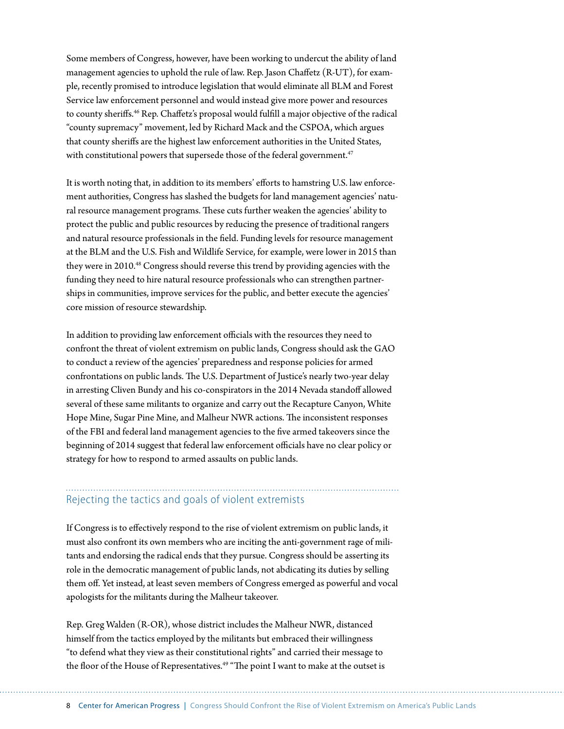Some members of Congress, however, have been working to undercut the ability of land management agencies to uphold the rule of law. Rep. Jason Chaffetz (R-UT), for example, recently promised to introduce legislation that would eliminate all BLM and Forest Service law enforcement personnel and would instead give more power and resources to county sheriffs.<sup>46</sup> Rep. Chaffetz's proposal would fulfill a major objective of the radical "county supremacy" movement, led by Richard Mack and the CSPOA, which argues that county sheriffs are the highest law enforcement authorities in the United States, with constitutional powers that supersede those of the federal government.<sup>47</sup>

It is worth noting that, in addition to its members' efforts to hamstring U.S. law enforcement authorities, Congress has slashed the budgets for land management agencies' natural resource management programs. These cuts further weaken the agencies' ability to protect the public and public resources by reducing the presence of traditional rangers and natural resource professionals in the field. Funding levels for resource management at the BLM and the U.S. Fish and Wildlife Service, for example, were lower in 2015 than they were in 2010.48 Congress should reverse this trend by providing agencies with the funding they need to hire natural resource professionals who can strengthen partnerships in communities, improve services for the public, and better execute the agencies' core mission of resource stewardship.

In addition to providing law enforcement officials with the resources they need to confront the threat of violent extremism on public lands, Congress should ask the GAO to conduct a review of the agencies' preparedness and response policies for armed confrontations on public lands. The U.S. Department of Justice's nearly two-year delay in arresting Cliven Bundy and his co-conspirators in the 2014 Nevada standoff allowed several of these same militants to organize and carry out the Recapture Canyon, White Hope Mine, Sugar Pine Mine, and Malheur NWR actions. The inconsistent responses of the FBI and federal land management agencies to the five armed takeovers since the beginning of 2014 suggest that federal law enforcement officials have no clear policy or strategy for how to respond to armed assaults on public lands.

#### Rejecting the tactics and goals of violent extremists

If Congress is to effectively respond to the rise of violent extremism on public lands, it must also confront its own members who are inciting the anti-government rage of militants and endorsing the radical ends that they pursue. Congress should be asserting its role in the democratic management of public lands, not abdicating its duties by selling them off. Yet instead, at least seven members of Congress emerged as powerful and vocal apologists for the militants during the Malheur takeover.

Rep. Greg Walden (R-OR), whose district includes the Malheur NWR, distanced himself from the tactics employed by the militants but embraced their willingness "to defend what they view as their constitutional rights" and carried their message to the floor of the House of Representatives.<sup>49</sup> "The point I want to make at the outset is

8 Center for American Progress | Congress Should Confront the Rise of Violent Extremism on America's Public Lands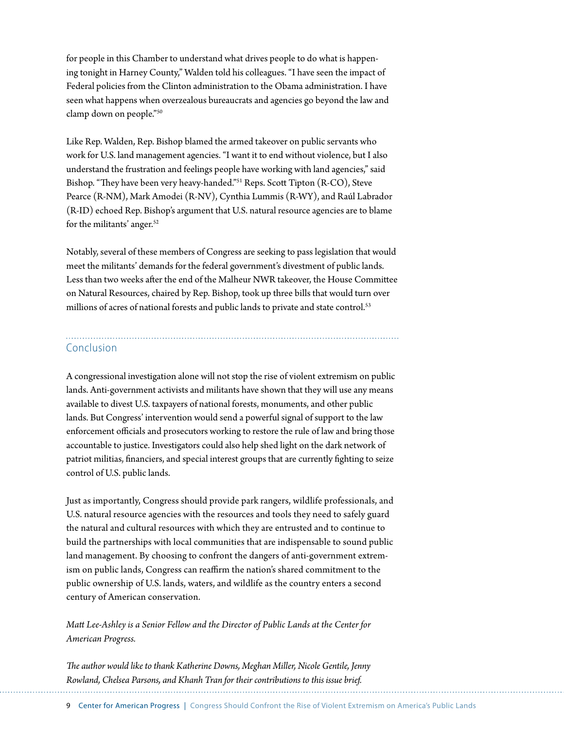for people in this Chamber to understand what drives people to do what is happening tonight in Harney County," Walden told his colleagues. "I have seen the impact of Federal policies from the Clinton administration to the Obama administration. I have seen what happens when overzealous bureaucrats and agencies go beyond the law and clamp down on people."50

Like Rep. Walden, Rep. Bishop blamed the armed takeover on public servants who work for U.S. land management agencies. "I want it to end without violence, but I also understand the frustration and feelings people have working with land agencies," said Bishop. "They have been very heavy-handed."51 Reps. Scott Tipton (R-CO), Steve Pearce (R-NM), Mark Amodei (R-NV), Cynthia Lummis (R-WY), and Raúl Labrador (R-ID) echoed Rep. Bishop's argument that U.S. natural resource agencies are to blame for the militants' anger.<sup>52</sup>

Notably, several of these members of Congress are seeking to pass legislation that would meet the militants' demands for the federal government's divestment of public lands. Less than two weeks after the end of the Malheur NWR takeover, the House Committee on Natural Resources, chaired by Rep. Bishop, took up three bills that would turn over millions of acres of national forests and public lands to private and state control.<sup>53</sup>

#### Conclusion

A congressional investigation alone will not stop the rise of violent extremism on public lands. Anti-government activists and militants have shown that they will use any means available to divest U.S. taxpayers of national forests, monuments, and other public lands. But Congress' intervention would send a powerful signal of support to the law enforcement officials and prosecutors working to restore the rule of law and bring those accountable to justice. Investigators could also help shed light on the dark network of patriot militias, financiers, and special interest groups that are currently fighting to seize control of U.S. public lands.

Just as importantly, Congress should provide park rangers, wildlife professionals, and U.S. natural resource agencies with the resources and tools they need to safely guard the natural and cultural resources with which they are entrusted and to continue to build the partnerships with local communities that are indispensable to sound public land management. By choosing to confront the dangers of anti-government extremism on public lands, Congress can reaffirm the nation's shared commitment to the public ownership of U.S. lands, waters, and wildlife as the country enters a second century of American conservation.

*Matt Lee-Ashley is a Senior Fellow and the Director of Public Lands at the Center for American Progress.* 

*The author would like to thank Katherine Downs, Meghan Miller, Nicole Gentile, Jenny Rowland, Chelsea Parsons, and Khanh Tran for their contributions to this issue brief.*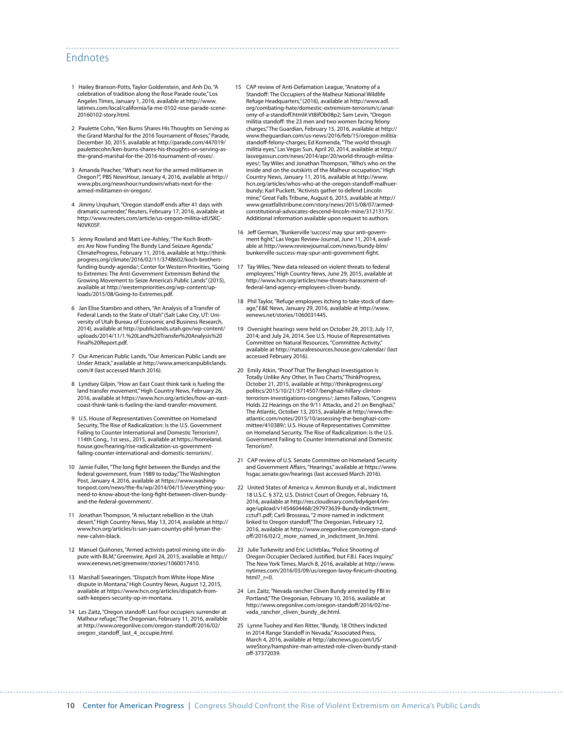#### Endnotes

- 1 Hailey Branson-Potts, Taylor Goldenstein, and Anh Do, "A celebration of tradition along the Rose Parade route," Los Angeles Times, January 1, 2016, available at [http://www.](http://www.latimes.com/local/california/la-me-0102-rose-parade-scene-20160102-story.html) [latimes.com/local/california/la-me-0102-rose-parade-scene-](http://www.latimes.com/local/california/la-me-0102-rose-parade-scene-20160102-story.html)[20160102-story.html.](http://www.latimes.com/local/california/la-me-0102-rose-parade-scene-20160102-story.html)
- 2 Paulette Cohn, "Ken Burns Shares His Thoughts on Serving as the Grand Marshal for the 2016 Tournament of Roses," Parade, December 30, 2015, available at [http://parade.com/447019/](http://parade.com/447019/paulettecohn/ken-burns-shares-his-thoughts-on-serving-as-the-grand-marshal-for-the-2016-tournament-of-roses/) [paulettecohn/ken-burns-shares-his-thoughts-on-serving-as](http://parade.com/447019/paulettecohn/ken-burns-shares-his-thoughts-on-serving-as-the-grand-marshal-for-the-2016-tournament-of-roses/)[the-grand-marshal-for-the-2016-tournament-of-roses/](http://parade.com/447019/paulettecohn/ken-burns-shares-his-thoughts-on-serving-as-the-grand-marshal-for-the-2016-tournament-of-roses/).
- 3 Amanda Peacher, "What's next for the armed militiamen in Oregon?", PBS NewsHour, January 4, 2016, available at [http://](http://www.pbs.org/newshour/rundown/whats-next-for-the-armed-militiamen-in-oregon/) [www.pbs.org/newshour/rundown/whats-next-for-the](http://www.pbs.org/newshour/rundown/whats-next-for-the-armed-militiamen-in-oregon/)[armed-militiamen-in-oregon/.](http://www.pbs.org/newshour/rundown/whats-next-for-the-armed-militiamen-in-oregon/)
- 4 Jimmy Urquhart, "Oregon standoff ends after 41 days with dramatic surrender," Reuters, February 17, 2016, available at [http://www.reuters.com/article/us-oregon-militia-idUSKC-](http://www.reuters.com/article/us-oregon-militia-idUSKCN0VK05F)NOVK05F
- 5 Jenny Rowland and Matt Lee-Ashley, "The Koch Brothers Are Now Funding The Bundy Land Seizure Agenda," ClimateProgress, February 11, 2016, available at [http://think](http://thinkprogress.org/climate/2016/02/11/3748602/koch-brothers-funding-bundy-agenda/)[progress.org/climate/2016/02/11/3748602/koch-brothers](http://thinkprogress.org/climate/2016/02/11/3748602/koch-brothers-funding-bundy-agenda/)[funding-bundy-agenda/;](http://thinkprogress.org/climate/2016/02/11/3748602/koch-brothers-funding-bundy-agenda/) Center for Western Priorities, "Going to Extremes: The Anti-Government Extremism Behind the Growing Movement to Seize America's Public Lands" (2015), available at [http://westernpriorities.org/wp-content/up](http://westernpriorities.org/wp-content/uploads/2015/08/Going-to-Extremes.pdf)[loads/2015/08/Going-to-Extremes.pdf.](http://westernpriorities.org/wp-content/uploads/2015/08/Going-to-Extremes.pdf)
- 6 Jan Elise Stambro and others, "An Analysis of a Transfer of Federal Lands to the State of Utah" (Salt Lake City, UT: University of Utah Bureau of Economic and Business Research, 2014), available at [http://publiclands.utah.gov/wp-content/](http://publiclands.utah.gov/wp-content/uploads/2014/11/1.%20Land%20Transfer%20Analysis%20Final%20Report.pdf) [uploads/2014/11/1.%20Land%20Transfer%20Analysis%20](http://publiclands.utah.gov/wp-content/uploads/2014/11/1.%20Land%20Transfer%20Analysis%20Final%20Report.pdf) [Final%20Report.pdf](http://publiclands.utah.gov/wp-content/uploads/2014/11/1.%20Land%20Transfer%20Analysis%20Final%20Report.pdf).
- 7 Our American Public Lands, "Our American Public Lands are Under Attack," available at [http://www.americanpubliclands.](http://www.americanpubliclands.com/) [com/#](http://www.americanpubliclands.com/) (last accessed March 2016).
- 8 Lyndsey Gilpin, "How an East Coast think tank is fueling the land transfer movement," High Country News, February 26, 2016, available at [https://www.hcn.org/articles/how-an-east](https://www.hcn.org/articles/how-an-east-coast-think-tank-is-fueling-the-land-transfer-movement)[coast-think-tank-is-fueling-the-land-transfer-movement.](https://www.hcn.org/articles/how-an-east-coast-think-tank-is-fueling-the-land-transfer-movement)
- 9 U.S. House of Representatives Committee on Homeland Security, The Rise of Radicalization: Is the U.S. Government Failing to Counter International and Domestic Terrorism?, 114th Cong., 1st sess., 2015, available at [https://homeland.](https://homeland.house.gov/hearing/rise-radicalization-us-government-failing-counter-international-and-domestic-terrorism/) [house.gov/hearing/rise-radicalization-us-government](https://homeland.house.gov/hearing/rise-radicalization-us-government-failing-counter-international-and-domestic-terrorism/)[failing-counter-international-and-domestic-terrorism/.](https://homeland.house.gov/hearing/rise-radicalization-us-government-failing-counter-international-and-domestic-terrorism/)
- 10 Jamie Fuller, "The long fight between the Bundys and the federal government, from 1989 to today," The Washington Post, January 4, 2016, available at [https://www.washing](https://www.washingtonpost.com/news/the-fix/wp/2014/04/15/everything-you-need-to-know-about-the-long-fight-between-cliven-bundy-and-the-federal-government/)[tonpost.com/news/the-fix/wp/2014/04/15/everything-you](https://www.washingtonpost.com/news/the-fix/wp/2014/04/15/everything-you-need-to-know-about-the-long-fight-between-cliven-bundy-and-the-federal-government/)[need-to-know-about-the-long-fight-between-cliven-bundy](https://www.washingtonpost.com/news/the-fix/wp/2014/04/15/everything-you-need-to-know-about-the-long-fight-between-cliven-bundy-and-the-federal-government/)[and-the-federal-government/](https://www.washingtonpost.com/news/the-fix/wp/2014/04/15/everything-you-need-to-know-about-the-long-fight-between-cliven-bundy-and-the-federal-government/).
- 11 Jonathan Thompson, "A reluctant rebellion in the Utah desert," High Country News, May 13, 2014, available at [http://](http://www.hcn.org/articles/is-san-juan-countys-phil-lyman-the-new-calvin-black) [www.hcn.org/articles/is-san-juan-countys-phil-lyman-the](http://www.hcn.org/articles/is-san-juan-countys-phil-lyman-the-new-calvin-black)[new-calvin-black](http://www.hcn.org/articles/is-san-juan-countys-phil-lyman-the-new-calvin-black).
- 12 Manuel Quiñones, "Armed activists patrol mining site in dispute with BLM," Greenwire, April 24, 2015, available at [http://](http://www.eenews.net/greenwire/stories/1060017410) [www.eenews.net/greenwire/stories/1060017410.](http://www.eenews.net/greenwire/stories/1060017410)
- 13 Marshall Swearingen, "Dispatch from White Hope Mine dispute in Montana," High Country News, August 12, 2015, available at [https://www.hcn.org/articles/dispatch-from](https://www.hcn.org/articles/dispatch-from-oath-keepers-security-op-in-montana)[oath-keepers-security-op-in-montana](https://www.hcn.org/articles/dispatch-from-oath-keepers-security-op-in-montana).
- 14 Les Zaitz, "Oregon standoff: Last four occupiers surrender at Malheur refuge," The Oregonian, February 11, 2016, available at [http://www.oregonlive.com/oregon-standoff/2016/02/](http://www.oregonlive.com/oregon-standoff/2016/02/oregon_standoff_last_4_occupie.html) [oregon\\_standoff\\_last\\_4\\_occupie.html](http://www.oregonlive.com/oregon-standoff/2016/02/oregon_standoff_last_4_occupie.html).

15 CAP review of Anti-Defamation League, "Anatomy of a Standoff: The Occupiers of the Malheur National Wildlife Refuge Headquarters," (2016), available at http://www.adl. org/combating-hate/domestic-extremism-terrorism/c/anatomy-of-a-standoff.html#.Vt8ifOb08p2; Sam Levin, "Oregon militia standoff: the 23 men and two women facing felony charges," The Guardian, February 15, 2016, available at [http://](http://www.theguardian.com/us-news/2016/feb/15/oregon-militia-standoff-felony-charges) [www.theguardian.com/us-news/2016/feb/15/oregon-militia](http://www.theguardian.com/us-news/2016/feb/15/oregon-militia-standoff-felony-charges)[standoff-felony-charges;](http://www.theguardian.com/us-news/2016/feb/15/oregon-militia-standoff-felony-charges) Ed Komenda, "The world through militia eyes," Las Vegas Sun, April 20, 2014, available at [http://](http://lasvegassun.com/news/2014/apr/20/world-through-militia-eyes/) [lasvegassun.com/news/2014/apr/20/world-through-militia](http://lasvegassun.com/news/2014/apr/20/world-through-militia-eyes/)[eyes/;](http://lasvegassun.com/news/2014/apr/20/world-through-militia-eyes/) Tay Wiles and Jonathan Thompson, "Who's who on the inside and on the outskirts of the Malheur occupation," High Country News, January 11, 2016, available at [http://www.](http://www.hcn.org/articles/whos-who-at-the-oregon-standoff-malhuer-bundy) [hcn.org/articles/whos-who-at-the-oregon-standoff-malhuer](http://www.hcn.org/articles/whos-who-at-the-oregon-standoff-malhuer-bundy)[bundy](http://www.hcn.org/articles/whos-who-at-the-oregon-standoff-malhuer-bundy); Karl Puckett, "Activists gather to defend Lincoln mine," Great Falls Tribune, August 6, 2015, available at [http://](http://www.greatfallstribune.com/story/news/2015/08/07/armed-constitutional-advocates-descend-lincoln-mine/31213175/) [www.greatfallstribune.com/story/news/2015/08/07/armed](http://www.greatfallstribune.com/story/news/2015/08/07/armed-constitutional-advocates-descend-lincoln-mine/31213175/)[constitutional-advocates-descend-lincoln-mine/31213175/](http://www.greatfallstribune.com/story/news/2015/08/07/armed-constitutional-advocates-descend-lincoln-mine/31213175/). Additional information available upon request to authors.

- 16 Jeff German, "Bunkerville 'success' may spur anti-government fight," Las Vegas Review-Journal, June 11, 2014, available at [http://www.reviewjournal.com/news/bundy-blm/](http://www.reviewjournal.com/news/bundy-blm/bunkerville-success-may-spur-anti-government-fight) [bunkerville-success-may-spur-anti-government-fight](http://www.reviewjournal.com/news/bundy-blm/bunkerville-success-may-spur-anti-government-fight).
- 17 Tay Wiles, "New data released on violent threats to federal employees," High Country News, June 29, 2015, available at [http://www.hcn.org/articles/new-threats-harassment-of](http://www.hcn.org/articles/new-threats-harassment-of-federal-land-agency-employees-cliven-bundy)[federal-land-agency-employees-cliven-bundy.](http://www.hcn.org/articles/new-threats-harassment-of-federal-land-agency-employees-cliven-bundy)
- 18 Phil Taylor, "Refuge employees itching to take stock of damage," E&E News, January 29, 2016, available at [http://www.](http://www.eenews.net/stories/1060031445) [eenews.net/stories/1060031445.](http://www.eenews.net/stories/1060031445)
- 19 Oversight hearings were held on October 29, 2013; July 17, 2014; and July 24, 2014. See U.S. House of Representatives Committee on Natural Resources, "Committee Activity," available at<http://naturalresources.house.gov/calendar/>(last accessed February 2016).
- 20 Emily Atkin, "Proof That The Benghazi Investigation Is Totally Unlike Any Other, In Two Charts," ThinkProgress, October 21, 2015, available at [http://thinkprogress.org/](http://thinkprogress.org/politics/2015/10/21/3714507/benghazi-hillary-clinton-terrorism-investigations-congress/) [politics/2015/10/21/3714507/benghazi-hillary-clinton](http://thinkprogress.org/politics/2015/10/21/3714507/benghazi-hillary-clinton-terrorism-investigations-congress/)[terrorism-investigations-congress/](http://thinkprogress.org/politics/2015/10/21/3714507/benghazi-hillary-clinton-terrorism-investigations-congress/); James Fallows, "Congress Holds 22 Hearings on the 9/11 Attacks, and 21 on Benghazi," The Atlantic, October 13, 2015, available at [http://www.the](http://www.theatlantic.com/notes/2015/10/assessing-the-benghazi-committee/410389/)[atlantic.com/notes/2015/10/assessing-the-benghazi-com](http://www.theatlantic.com/notes/2015/10/assessing-the-benghazi-committee/410389/)[mittee/410389/](http://www.theatlantic.com/notes/2015/10/assessing-the-benghazi-committee/410389/); U.S. House of Representatives Committee on Homeland Security, The Rise of Radicalization: Is the U.S. Government Failing to Counter International and Domestic Terrorism?.
- 21 CAP review of U.S. Senate Committee on Homeland Security and Government Affairs, "Hearings," available at [https://www.](https://www.hsgac.senate.gov/hearings) [hsgac.senate.gov/hearings](https://www.hsgac.senate.gov/hearings) (last accessed March 2016).
- 22 United States of America v. Ammon Bundy et al., Indictment 18 U.S.C. § 372, U.S. District Court of Oregon, February 16, 2016, available at [http://res.cloudinary.com/bdy4ger4/im](http://res.cloudinary.com/bdy4ger4/image/upload/v1454604468/297973639-Bundy-Indictment_cctuf1.pdf)[age/upload/v1454604468/297973639-Bundy-Indictment\\_](http://res.cloudinary.com/bdy4ger4/image/upload/v1454604468/297973639-Bundy-Indictment_cctuf1.pdf) [cctuf1.pdf;](http://res.cloudinary.com/bdy4ger4/image/upload/v1454604468/297973639-Bundy-Indictment_cctuf1.pdf) Carli Brosseau, "2 more named in indictment linked to Oregon standoff," The Oregonian, February 12, 2016, available at [http://www.oregonlive.com/oregon-stand](http://www.oregonlive.com/oregon-standoff/2016/02/2_more_named_in_indictment_lin.html)[off/2016/02/2\\_more\\_named\\_in\\_indictment\\_lin.html](http://www.oregonlive.com/oregon-standoff/2016/02/2_more_named_in_indictment_lin.html).
- 23 Julie Turkewitz and Eric Lichtblau, "Police Shooting of Oregon Occupier Declared Justified, but F.B.I. Faces Inquiry," The New York Times, March 8, 2016, available at [http://www.](http://www.nytimes.com/2016/03/09/us/oregon-lavoy-finicum-shooting.html?_r=0) [nytimes.com/2016/03/09/us/oregon-lavoy-finicum-shooting.](http://www.nytimes.com/2016/03/09/us/oregon-lavoy-finicum-shooting.html?_r=0) [html?\\_r=0](http://www.nytimes.com/2016/03/09/us/oregon-lavoy-finicum-shooting.html?_r=0).
- 24 Les Zaitz, "Nevada rancher Cliven Bundy arrested by FBI in Portland," The Oregonian, February 10, 2016, available at [http://www.oregonlive.com/oregon-standoff/2016/02/ne](http://www.oregonlive.com/oregon-standoff/2016/02/nevada_rancher_cliven_bundy_de.html)[vada\\_rancher\\_cliven\\_bundy\\_de.html](http://www.oregonlive.com/oregon-standoff/2016/02/nevada_rancher_cliven_bundy_de.html).
- 25 Lynne Tuohey and Ken Ritter, "Bundy, 18 Others Indicted in 2014 Range Standoff in Nevada," Associated Press, March 4, 2016, available at [http://abcnews.go.com/US/](http://abcnews.go.com/US/wireStory/hampshire-man-arrested-role-cliven-bundy-standoff-37372039) [wireStory/hampshire-man-arrested-role-cliven-bundy-stand](http://abcnews.go.com/US/wireStory/hampshire-man-arrested-role-cliven-bundy-standoff-37372039)[off-37372039](http://abcnews.go.com/US/wireStory/hampshire-man-arrested-role-cliven-bundy-standoff-37372039).